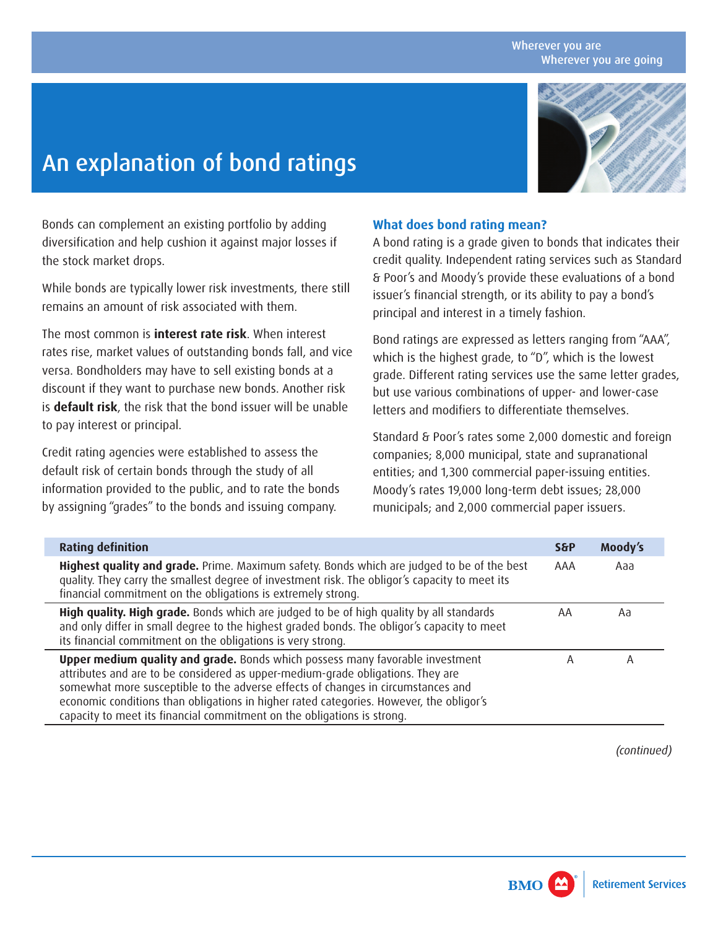#### Wherever you are Wherever you are going

# An explanation of bond ratings



Bonds can complement an existing portfolio by adding diversification and help cushion it against major losses if the stock market drops.

While bonds are typically lower risk investments, there still remains an amount of risk associated with them.

The most common is **interest rate risk**. When interest rates rise, market values of outstanding bonds fall, and vice versa. Bondholders may have to sell existing bonds at a discount if they want to purchase new bonds. Another risk is **default risk**, the risk that the bond issuer will be unable to pay interest or principal.

Credit rating agencies were established to assess the default risk of certain bonds through the study of all information provided to the public, and to rate the bonds by assigning "grades" to the bonds and issuing company.

### **What does bond rating mean?**

A bond rating is a grade given to bonds that indicates their credit quality. Independent rating services such as Standard & Poor's and Moody's provide these evaluations of a bond issuer's financial strength, or its ability to pay a bond's principal and interest in a timely fashion.

Bond ratings are expressed as letters ranging from "AAA", which is the highest grade, to "D", which is the lowest grade. Different rating services use the same letter grades, but use various combinations of upper- and lower-case letters and modifiers to differentiate themselves.

Standard & Poor's rates some 2,000 domestic and foreign companies; 8,000 municipal, state and supranational entities; and 1,300 commercial paper-issuing entities. Moody's rates 19,000 long-term debt issues; 28,000 municipals; and 2,000 commercial paper issuers.

| <b>Rating definition</b>                                                                                                                                                                                                                                                                                                                                                                                                          | <b>S&amp;P</b> | Moody's |
|-----------------------------------------------------------------------------------------------------------------------------------------------------------------------------------------------------------------------------------------------------------------------------------------------------------------------------------------------------------------------------------------------------------------------------------|----------------|---------|
| Highest quality and grade. Prime. Maximum safety. Bonds which are judged to be of the best<br>quality. They carry the smallest degree of investment risk. The obligor's capacity to meet its<br>financial commitment on the obligations is extremely strong.                                                                                                                                                                      | AAA            | Aaa     |
| High quality. High grade. Bonds which are judged to be of high quality by all standards<br>and only differ in small degree to the highest graded bonds. The obligor's capacity to meet<br>its financial commitment on the obligations is very strong.                                                                                                                                                                             | AA             | Aa      |
| <b>Upper medium quality and grade.</b> Bonds which possess many favorable investment<br>attributes and are to be considered as upper-medium-grade obligations. They are<br>somewhat more susceptible to the adverse effects of changes in circumstances and<br>economic conditions than obligations in higher rated categories. However, the obligor's<br>capacity to meet its financial commitment on the obligations is strong. | Α              | А       |

*(continued)*